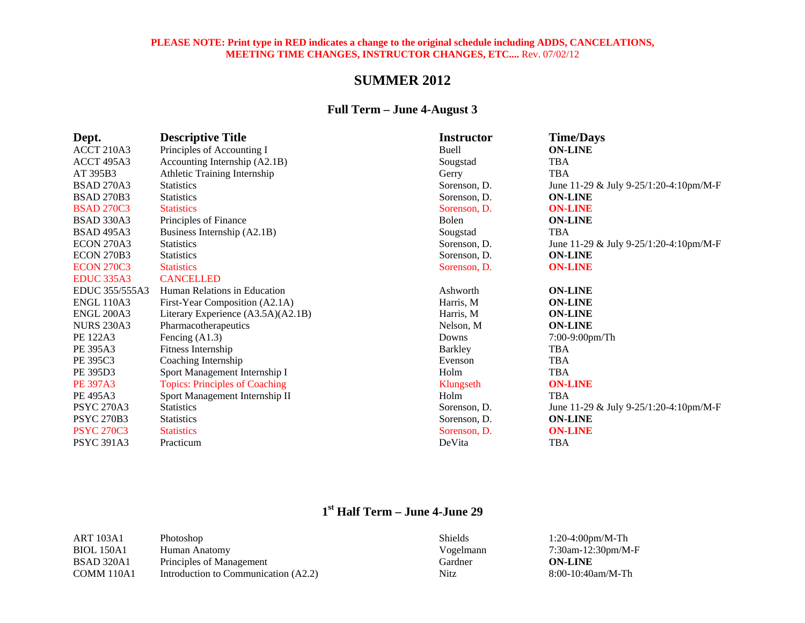#### **PLEASE NOTE: Print type in RED indicates a change to the original schedule including ADDS, CANCELATIONS, MEETING TIME CHANGES, INSTRUCTOR CHANGES, ETC....** Rev. 07/02/12

## **SUMMER 2012**

### **Full Term – June 4-August 3**

| Dept.             | <b>Descriptive Title</b>              | <b>Instructor</b> | <b>Time/Days</b>                       |
|-------------------|---------------------------------------|-------------------|----------------------------------------|
| ACCT 210A3        | Principles of Accounting I            | Buell             | <b>ON-LINE</b>                         |
| ACCT 495A3        | Accounting Internship (A2.1B)         | Sougstad          | <b>TBA</b>                             |
| AT 395B3          | Athletic Training Internship          | Gerry             | <b>TBA</b>                             |
| <b>BSAD 270A3</b> | <b>Statistics</b>                     | Sorenson, D.      | June 11-29 & July 9-25/1:20-4:10pm/M-F |
| <b>BSAD 270B3</b> | <b>Statistics</b>                     | Sorenson, D.      | <b>ON-LINE</b>                         |
| <b>BSAD 270C3</b> | <b>Statistics</b>                     | Sorenson, D.      | <b>ON-LINE</b>                         |
| <b>BSAD 330A3</b> | Principles of Finance                 | Bolen             | <b>ON-LINE</b>                         |
| <b>BSAD 495A3</b> | Business Internship (A2.1B)           | Sougstad          | <b>TBA</b>                             |
| <b>ECON 270A3</b> | <b>Statistics</b>                     | Sorenson, D.      | June 11-29 & July 9-25/1:20-4:10pm/M-F |
| <b>ECON 270B3</b> | <b>Statistics</b>                     | Sorenson, D.      | <b>ON-LINE</b>                         |
| <b>ECON 270C3</b> | <b>Statistics</b>                     | Sorenson, D.      | <b>ON-LINE</b>                         |
| <b>EDUC 335A3</b> | <b>CANCELLED</b>                      |                   |                                        |
| EDUC 355/555A3    | Human Relations in Education          | Ashworth          | <b>ON-LINE</b>                         |
| <b>ENGL 110A3</b> | First-Year Composition (A2.1A)        | Harris, M         | <b>ON-LINE</b>                         |
| <b>ENGL 200A3</b> | Literary Experience (A3.5A)(A2.1B)    | Harris, M         | <b>ON-LINE</b>                         |
| <b>NURS 230A3</b> | Pharmacotherapeutics                  | Nelson, M         | <b>ON-LINE</b>                         |
| PE 122A3          | Fencing $(A1.3)$                      | Downs             | 7:00-9:00pm/Th                         |
| PE 395A3          | Fitness Internship                    | Barkley           | <b>TBA</b>                             |
| PE 395C3          | Coaching Internship                   | Evenson           | <b>TBA</b>                             |
| PE 395D3          | Sport Management Internship I         | Holm              | <b>TBA</b>                             |
| <b>PE 397A3</b>   | <b>Topics: Principles of Coaching</b> | Klungseth         | <b>ON-LINE</b>                         |
| PE 495A3          | Sport Management Internship II        | Holm              | <b>TBA</b>                             |
| <b>PSYC 270A3</b> | <b>Statistics</b>                     | Sorenson, D.      | June 11-29 & July 9-25/1:20-4:10pm/M-F |
| <b>PSYC 270B3</b> | <b>Statistics</b>                     | Sorenson, D.      | <b>ON-LINE</b>                         |
| <b>PSYC 270C3</b> | <b>Statistics</b>                     | Sorenson, D.      | <b>ON-LINE</b>                         |
| <b>PSYC 391A3</b> | Practicum                             | DeVita            | <b>TBA</b>                             |

#### **1st Half Term – June 4-June 29**

| ART 103A1         | Photoshop                            | Shields   | $1:20-4:00$ pm/M-Th   |
|-------------------|--------------------------------------|-----------|-----------------------|
| <b>BIOL</b> 150A1 | Human Anatomy                        | Vogelmann | $7:30$ am-12:30pm/M-F |
| <b>BSAD 320A1</b> | Principles of Management             | Gardner   | <b>ON-LINE</b>        |
| COMM 110A1        | Introduction to Communication (A2.2) | Nitz      | $8:00-10:40am/M-Th$   |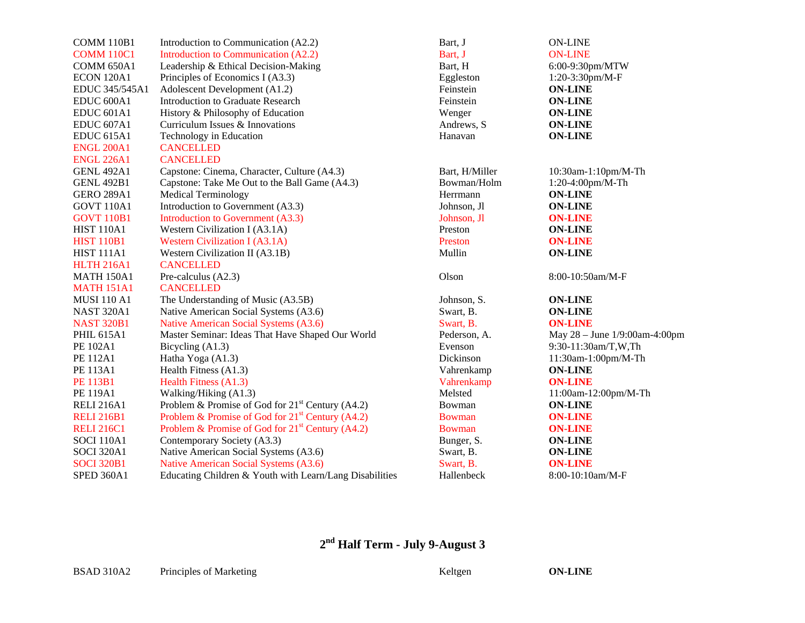| <b>COMM 110B1</b>     | Introduction to Communication (A2.2)                    | Bart, J        | <b>ON-LINE</b> |
|-----------------------|---------------------------------------------------------|----------------|----------------|
| <b>COMM 110C1</b>     | Introduction to Communication (A2.2)                    | Bart, J        | <b>ON-LINE</b> |
| <b>COMM 650A1</b>     | Leadership & Ethical Decision-Making                    | Bart, H        | 6:00-9:30p     |
| <b>ECON 120A1</b>     | Principles of Economics I (A3.3)                        | Eggleston      | 1:20-3:30p     |
| EDUC 345/545A1        | Adolescent Development (A1.2)                           | Feinstein      | <b>ON-LINE</b> |
| EDUC <sub>600A1</sub> | Introduction to Graduate Research                       | Feinstein      | <b>ON-LINE</b> |
| EDUC <sub>601A1</sub> | History & Philosophy of Education                       | Wenger         | <b>ON-LINE</b> |
| <b>EDUC 607A1</b>     | Curriculum Issues & Innovations                         | Andrews, S     | <b>ON-LINE</b> |
| EDUC 615A1            | Technology in Education                                 | Hanavan        | <b>ON-LINE</b> |
| <b>ENGL 200A1</b>     | <b>CANCELLED</b>                                        |                |                |
| <b>ENGL 226A1</b>     | <b>CANCELLED</b>                                        |                |                |
| <b>GENL 492A1</b>     | Capstone: Cinema, Character, Culture (A4.3)             | Bart, H/Miller | 10:30am-1:     |
| <b>GENL 492B1</b>     | Capstone: Take Me Out to the Ball Game (A4.3)           | Bowman/Holm    | $1:20-4:00p$   |
| <b>GERO 289A1</b>     | <b>Medical Terminology</b>                              | Herrmann       | <b>ON-LINE</b> |
| <b>GOVT 110A1</b>     | Introduction to Government (A3.3)                       | Johnson, Jl    | <b>ON-LINE</b> |
| <b>GOVT 110B1</b>     | Introduction to Government (A3.3)                       | Johnson, Jl    | <b>ON-LINE</b> |
| <b>HIST 110A1</b>     | Western Civilization I (A3.1A)                          | Preston        | <b>ON-LINE</b> |
| <b>HIST 110B1</b>     | <b>Western Civilization I (A3.1A)</b>                   | Preston        | <b>ON-LINE</b> |
| <b>HIST 111A1</b>     | Western Civilization II (A3.1B)                         | Mullin         | <b>ON-LINE</b> |
| <b>HLTH 216A1</b>     | <b>CANCELLED</b>                                        |                |                |
| <b>MATH 150A1</b>     | Pre-calculus (A2.3)                                     | Olson          | 8:00-10:50     |
| <b>MATH 151A1</b>     | <b>CANCELLED</b>                                        |                |                |
| <b>MUSI 110 A1</b>    | The Understanding of Music (A3.5B)                      | Johnson, S.    | <b>ON-LINE</b> |
| <b>NAST 320A1</b>     | Native American Social Systems (A3.6)                   | Swart, B.      | <b>ON-LINE</b> |
| <b>NAST 320B1</b>     | Native American Social Systems (A3.6)                   | Swart, B.      | <b>ON-LINE</b> |
| <b>PHIL 615A1</b>     | Master Seminar: Ideas That Have Shaped Our World        | Pederson, A.   | May $28 - J$   |
| PE 102A1              | Bicycling (A1.3)                                        | Evenson        | 9:30-11:30     |
| <b>PE 112A1</b>       | Hatha Yoga (A1.3)                                       | Dickinson      | 11:30am-1:     |
| PE 113A1              | Health Fitness (A1.3)                                   | Vahrenkamp     | <b>ON-LINE</b> |
| <b>PE 113B1</b>       | Health Fitness (A1.3)                                   | Vahrenkamp     | <b>ON-LINE</b> |
| <b>PE 119A1</b>       | Walking/Hiking (A1.3)                                   | Melsted        | 11:00am-12     |
| <b>RELI 216A1</b>     | Problem & Promise of God for $21st$ Century (A4.2)      | Bowman         | <b>ON-LINE</b> |
| <b>RELI 216B1</b>     | Problem & Promise of God for $21st$ Century (A4.2)      | <b>Bowman</b>  | <b>ON-LINE</b> |
| <b>RELI 216C1</b>     | Problem & Promise of God for $21st$ Century (A4.2)      | <b>Bowman</b>  | <b>ON-LINE</b> |
| <b>SOCI 110A1</b>     | Contemporary Society (A3.3)                             | Bunger, S.     | <b>ON-LINE</b> |
| <b>SOCI 320A1</b>     | Native American Social Systems (A3.6)                   | Swart, B.      | <b>ON-LINE</b> |
| <b>SOCI 320B1</b>     | Native American Social Systems (A3.6)                   | Swart, B.      | <b>ON-LINE</b> |
| <b>SPED 360A1</b>     | Educating Children & Youth with Learn/Lang Disabilities | Hallenbeck     | 8:00-10:10     |

# 6:00-9:30pm/MTW 1:20-3:30pm/M-F<br> **ON-LINE ON-LINE** 10:30am-1:10pm/M-Th  $1:20-4:00pm/M-Th$ <br>ON-LINE 8:00-10:50am/M-F May  $28 -$  June  $1/9:00$ am-4:00pm 9:30-11:30am/T,W,Th 11:30am-1:00pm/M-Th<br> **ON-LINE** 11:00am-12:00pm/M-Th 8:00-10:10am/M-F

## **<sup>2</sup>nd Half Term - July 9-August 3**